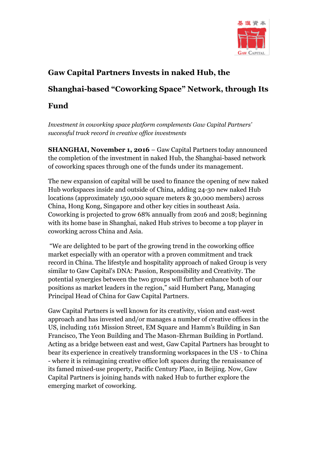

## **Gaw Capital Partners Invests in naked Hub, the Shanghai-based "Coworking Space" Network, through Its**

## **Fund**

*Investment in coworking space platform complements Gaw Capital Partners' successful track record in creative office investments*

**SHANGHAI, November 1, 2016** – Gaw Capital Partners today announced the completion of the investment in naked Hub, the Shanghai-based network of coworking spaces through one of the funds under its management.

The new expansion of capital will be used to finance the opening of new naked Hub workspaces inside and outside of China, adding 24-30 new naked Hub locations (approximately 150,000 square meters & 30,000 members) across China, Hong Kong, Singapore and other key cities in southeast Asia. Coworking is projected to grow 68% annually from 2016 and 2018; beginning with its home base in Shanghai, naked Hub strives to become a top player in coworking across China and Asia.

"We are delighted to be part of the growing trend in the coworking office market especially with an operator with a proven commitment and track record in China. The lifestyle and hospitality approach of naked Group is very similar to Gaw Capital's DNA: Passion, Responsibility and Creativity. The potential synergies between the two groups will further enhance both of our positions as market leaders in the region," said Humbert Pang, Managing Principal Head of China for Gaw Capital Partners.

Gaw Capital Partners is well known for its creativity, vision and east-west approach and has invested and/or manages a number of creative offices in the US, including 1161 Mission Street, EM Square and Hamm's Building in San Francisco, The Yeon Building and The Mason-Ehrman Building in Portland. Acting as a bridge between east and west, Gaw Capital Partners has brought to bear its experience in creatively transforming workspaces in the US - to China - where it is reimagining creative office loft spaces during the renaissance of its famed mixed-use property, Pacific Century Place, in Beijing. Now, Gaw Capital Partners is joining hands with naked Hub to further explore the emerging market of coworking.